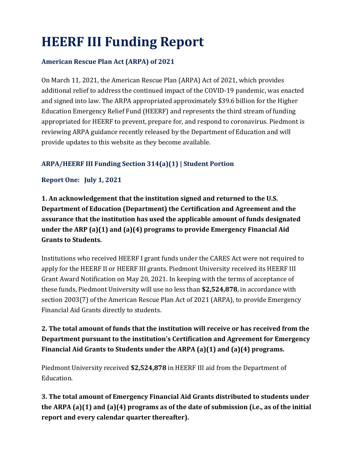# **HEERF III Funding Report**

#### **American Rescue Plan Act (ARPA) of 2021**

On March 11, 2021, the American Rescue Plan (ARPA) Act of 2021, which provides additional relief to address the continued impact of the COVID-19 pandemic, was enacted and signed into law. The ARPA appropriated approximately \$39.6 billion for the Higher Education Emergency Relief Fund (HEERF) and represents the third stream of funding appropriated for HEERF to prevent, prepare for, and respond to coronavirus. Piedmont is reviewing ARPA guidance recently released by the Department of Education and will provide updates to this website as they become available.

#### **ARPA/HEERF III Funding Section 314(a)(1) | Student Portion**

#### **Report One: July 1, 2021**

**1. An acknowledgement that the institution signed and returned to the U.S. Department of Education (Department) the Certification and Agreement and the assurance that the institution has used the applicable amount of funds designated under the ARP (a)(1) and (a)(4) programs to provide Emergency Financial Aid Grants to Students.**

Institutions who received HEERF I grant funds under the CARES Act were not required to apply for the HEERF II or HEERF III grants. Piedmont University received its HEERF III Grant Award Notification on May 20, 2021. In keeping with the terms of acceptance of these funds, Piedmont University will use no less than **\$2,524,878**, in accordance with section 2003(7) of the American Rescue Plan Act of 2021 (ARPA), to provide Emergency Financial Aid Grants directly to students.

## **2. The total amount of funds that the institution will receive or has received from the Department pursuant to the institution's Certification and Agreement for Emergency Financial Aid Grants to Students under the ARPA (a)(1) and (a)(4) programs.**

Piedmont University received **\$2,524,878** in HEERF III aid from the Department of Education.

**3. The total amount of Emergency Financial Aid Grants distributed to students under the ARPA (a)(1) and (a)(4) programs as of the date of submission (i.e., as of the initial report and every calendar quarter thereafter).**